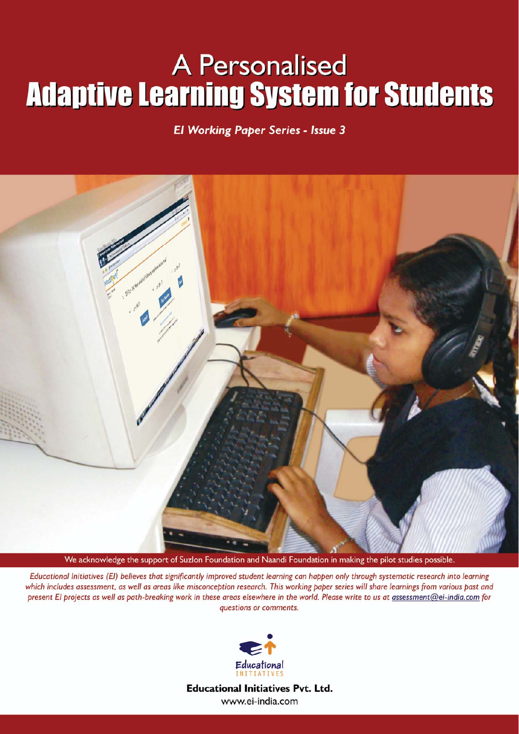# **A Personalised Adaptive Learning System for Students**

#### **El Working Paper Series - Issue 3**



We acknowledge the support of Suzlon Foundation and Naandi Foundation in making the pilot studies possible.

Educational Initiatives (EI) believes that significantly improved student learning can happen only through systematic research into learning which includes assessment, as well as areas like misconception research. This working paper series will share learnings from various past and present El projects as well as path-breaking work in these areas elsewhere in the world. Please write to us at assessment@ei-india.com for questions or comments.



**Educational Initiatives Pvt. Ltd.** www.ei-india.com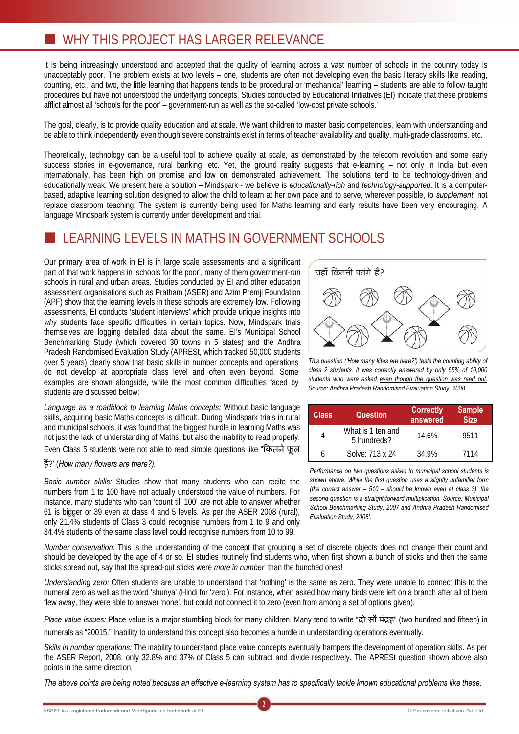## **WHY THIS PROJECT HAS LARGER RELEVANCE**

It is being increasingly understood and accepted that the quality of learning across a vast number of schools in the country today is unacceptably poor. The problem exists at two levels – one, students are often not developing even the basic literacy skills like reading, counting, etc., and two, the little learning that happens tends to be procedural or 'mechanical' learning – students are able to follow taught procedures but have not understood the underlying concepts. Studies conducted by Educational Initiatives (EI) indicate that these problems afflict almost all 'schools for the poor' – government-run as well as the so-called 'low-cost private schools.'

The goal, clearly, is to provide quality education and at scale. We want children to master basic competencies, learn with understanding and be able to think independently even though severe constraints exist in terms of teacher availability and quality, multi-grade classrooms, etc.

Theoretically, technology can be a useful tool to achieve quality at scale, as demonstrated by the telecom revolution and some early success stories in e-governance, rural banking, etc. Yet, the ground reality suggests that e-learning – not only in India but even internationally, has been high on promise and low on demonstrated achievement. The solutions tend to be technology-driven and educationally weak. We present here a solution – Mindspark - we believe is *educationally-rich* and *technology-supported*. It is a computerbased, adaptive learning solution designed to allow the child to learn at her own pace and to serve, wherever possible, to *supplement*, not replace classroom teaching. The system is currently being used for Maths learning and early results have been very encouraging. A language Mindspark system is currently under development and trial.

#### LEARNING LEVELS IN MATHS IN GOVERNMENT SCHOOLS

Our primary area of work in EI is in large scale assessments and a significant part of that work happens in 'schools for the poor', many of them government-run schools in rural and urban areas. Studies conducted by EI and other education assessment organisations such as Pratham (ASER) and Azim Premji Foundation (APF) show that the learning levels in these schools are extremely low. Following assessments, EI conducts 'student interviews' which provide unique insights into *why* students face specific difficulties in certain topics. Now, Mindspark trials themselves are logging detailed data about the same. EI's Municipal School Benchmarking Study (which covered 30 towns in 5 states) and the Andhra Pradesh Randomised Evaluation Study (APRESt, which tracked 50,000 students over 5 years) clearly show that basic skills in number concepts and operations do not develop at appropriate class level and often even beyond. Some examples are shown alongside, while the most common difficulties faced by students are discussed below:

*Language as a roadblock to learning Maths concepts:* Without basic language skills, acquiring basic Maths concepts is difficult. During Mindspark trials in rural and municipal schools, it was found that the biggest hurdle in learning Maths was not just the lack of understanding of Maths, but also the inability to read properly. Even Class 5 students were not able to read simple questions like "ফিনন দৰ

#### ¡ɇ?' (*How many flowers are there?).*

*Basic number skills:* Studies show that many students who can recite the numbers from 1 to 100 have not actually understood the value of numbers. For instance, many students who can 'count till 100' are not able to answer whether 61 is bigger or 39 even at class 4 and 5 levels. As per the ASER 2008 (rural), only 21.4% students of Class 3 could recognise numbers from 1 to 9 and only 34.4% students of the same class level could recognise numbers from 10 to 99.



*This question ('How many kites are here?') tests the counting ability of class 2 students. It was correctly answered by only 55% of 10,000 students who were asked even though the question was read out. Source: Andhra Pradesh Randomised Evaluation Study, 2008* 

| <b>Class</b> | <b>Question</b>                  | <b>Correctly</b><br>answered | <b>Sample</b><br><b>Size</b> |  |
|--------------|----------------------------------|------------------------------|------------------------------|--|
|              | What is 1 ten and<br>5 hundreds? | 14.6%                        | 9511                         |  |
|              | Solve: 713 x 24                  | 34.9%                        | 7114                         |  |

*Performance on two questions asked to municipal school students is shown above. While the first question uses a slightly unfamiliar form (the correct answer – 510 – should be known even at class 3), the second question is a straight-forward multiplication. Source: Municipal School Benchmarking Study, 2007 and Andhra Pradesh Randomised Evaluation Study, 2008'.*

*Number conservation:* This is the understanding of the concept that grouping a set of discrete objects does not change their count and should be developed by the age of 4 or so. EI studies routinely find students who, when first shown a bunch of sticks and then the same sticks spread out, say that the spread-out sticks were *more in number* than the bunched ones!

*Understanding zero:* Often students are unable to understand that 'nothing' is the same as zero. They were unable to connect this to the numeral zero as well as the word 'shunya' (Hindi for 'zero'). For instance, when asked how many birds were left on a branch after all of them flew away, they were able to answer 'none', but could not connect it to zero (even from among a set of options given).

*Place value issues:* Place value is a major stumbling block for many children. Many tend to write "Ȫ ȫ Ȳġ¡" (two hundred and fifteen) in numerals as "20015." Inability to understand this concept also becomes a hurdle in understanding operations eventually.

*Skills in number operations:* The inability to understand place value concepts eventually hampers the development of operation skills. As per the ASER Report, 2008, only 32.8% and 37% of Class 5 can subtract and divide respectively. The APRESt question shown above also points in the same direction.

*The above points are being noted because an effective e-learning system has to specifically tackle known educational problems like these.* 

2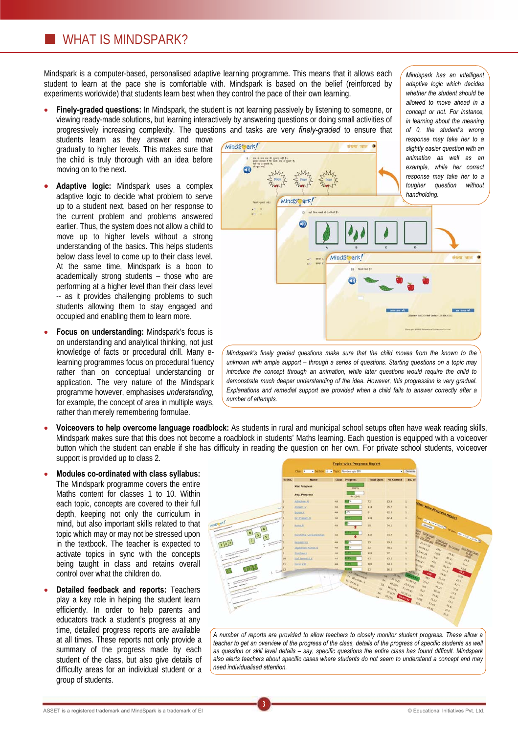#### **WHAT IS MINDSPARK?**

Mindspark is a computer-based, personalised adaptive learning programme. This means that it allows each student to learn at the pace she is comfortable with. Mindspark is based on the belief (reinforced by experiments worldwide) that students learn best when they control the pace of their own learning.

**Finely-graded questions:** In Mindspark, the student is not learning passively by listening to someone, or viewing ready-made solutions, but learning interactively by answering questions or doing small activities of progressively increasing complexity. The questions and tasks are very *finely-graded* to ensure that

students learn as they answer and move gradually to higher levels. This makes sure that the child is truly thorough with an idea before moving on to the next.

- x **Adaptive logic:** Mindspark uses a complex adaptive logic to decide what problem to serve up to a student next, based on her response to the current problem and problems answered earlier. Thus, the system does not allow a child to move up to higher levels without a strong understanding of the basics. This helps students below class level to come up to their class level. At the same time, Mindspark is a boon to academically strong students – those who are performing at a higher level than their class level -- as it provides challenging problems to such students allowing them to stay engaged and occupied and enabling them to learn more.
- **Focus on understanding: Mindspark's focus is** on understanding and analytical thinking, not just knowledge of facts or procedural drill. Many elearning programmes focus on procedural fluency rather than on conceptual understanding or application. The very nature of the Mindspark programme however, emphasises *understanding,* for example, the concept of area in multiple ways, rather than merely remembering formulae.



*Mindspark has an intelligent adaptive logic which decides whether the student should be allowed to move ahead in a concept or not. For instance,* 

*Mindspark's finely graded questions make sure that the child moves from the known to the unknown with ample support – through a series of questions. Starting questions on a topic may introduce the concept through an animation, while later questions would require the child to demonstrate much deeper understanding of the idea. However, this progression is very gradual. Explanations and remedial support are provided when a child fails to answer correctly after a number of attempts.*

x **Voiceovers to help overcome language roadblock:** As students in rural and municipal school setups often have weak reading skills, Mindspark makes sure that this does not become a roadblock in students' Maths learning. Each question is equipped with a voiceover button which the student can enable if she has difficulty in reading the question on her own. For private school students, voiceover support is provided up to class 2.

3

- x **Modules co-ordinated with class syllabus:** The Mindspark programme covers the entire Maths content for classes 1 to 10. Within each topic, concepts are covered to their full depth, keeping not only the curriculum in mind, but also important skills related to that topic which may or may not be stressed upon in the textbook. The teacher is expected to activate topics in sync with the concepts being taught in class and retains overall control over what the children do.
- **Detailed feedback and reports: Teachers** play a key role in helping the student learn efficiently. In order to help parents and educators track a student's progress at any time, detailed progress reports are available at all times. These reports not only provide a summary of the progress made by each student of the class, but also give details of difficulty areas for an individual student or a group of students.



*A number of reports are provided to allow teachers to closely monitor student progress. These allow a teacher to get an overview of the progress of the class, details of the progress of specific students as well as question or skill level details – say, specific questions the entire class has found difficult. Mindspark also alerts teachers about specific cases where students do not seem to understand a concept and may need individualised attention.*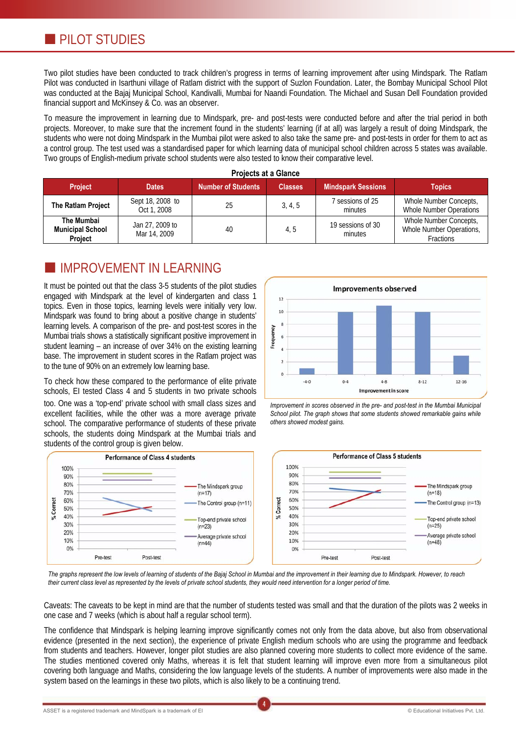Two pilot studies have been conducted to track children's progress in terms of learning improvement after using Mindspark. The Ratlam Pilot was conducted in Isarthuni village of Ratlam district with the support of Suzlon Foundation. Later, the Bombay Municipal School Pilot was conducted at the Bajaj Municipal School, Kandivalli, Mumbai for Naandi Foundation. The Michael and Susan Dell Foundation provided financial support and McKinsey & Co. was an observer.

To measure the improvement in learning due to Mindspark, pre- and post-tests were conducted before and after the trial period in both projects. Moreover, to make sure that the increment found in the students' learning (if at all) was largely a result of doing Mindspark, the students who were not doing Mindspark in the Mumbai pilot were asked to also take the same pre- and post-tests in order for them to act as a control group. The test used was a standardised paper for which learning data of municipal school children across 5 states was available. Two groups of English-medium private school students were also tested to know their comparative level.

| <b>Project</b>                                          | <b>Dates</b>                    | Projects at a Giance<br><b>Number of Students</b> | <b>Classes</b> | <b>Mindspark Sessions</b>    | <b>Topics</b>                                                          |
|---------------------------------------------------------|---------------------------------|---------------------------------------------------|----------------|------------------------------|------------------------------------------------------------------------|
| The Ratlam Project                                      | Sept 18, 2008 to<br>Oct 1, 2008 | 25                                                | 3, 4, 5        | sessions of 25<br>minutes    | Whole Number Concepts,<br>Whole Number Operations                      |
| The Mumbai<br><b>Municipal School</b><br><b>Project</b> | Jan 27, 2009 to<br>Mar 14, 2009 | 40                                                | 4.5            | 19 sessions of 30<br>minutes | Whole Number Concepts,<br>Whole Number Operations,<br><b>Fractions</b> |

**Projects at a Glance** 

### IMPROVEMENT IN LEARNING

It must be pointed out that the class 3-5 students of the pilot studies engaged with Mindspark at the level of kindergarten and class 1 topics. Even in those topics, learning levels were initially very low. Mindspark was found to bring about a positive change in students' learning levels. A comparison of the pre- and post-test scores in the Mumbai trials shows a statistically significant positive improvement in student learning – an increase of over 34% on the existing learning base. The improvement in student scores in the Ratlam project was to the tune of 90% on an extremely low learning base.

To check how these compared to the performance of elite private schools, EI tested Class 4 and 5 students in two private schools too. One was a 'top-end' private school with small class sizes and excellent facilities, while the other was a more average private school. The comparative performance of students of these private schools, the students doing Mindspark at the Mumbai trials and









*The graphs represent the low levels of learning of students of the Bajaj School in Mumbai and the improvement in their learning due to Mindspark. However, to reach their current class level as represented by the levels of private school students, they would need intervention for a longer period of time.* 

Caveats: The caveats to be kept in mind are that the number of students tested was small and that the duration of the pilots was 2 weeks in one case and 7 weeks (which is about half a regular school term).

The confidence that Mindspark is helping learning improve significantly comes not only from the data above, but also from observational evidence (presented in the next section), the experience of private English medium schools who are using the programme and feedback from students and teachers. However, longer pilot studies are also planned covering more students to collect more evidence of the same. The studies mentioned covered only Maths, whereas it is felt that student learning will improve even more from a simultaneous pilot covering both language and Maths, considering the low language levels of the students. A number of improvements were also made in the system based on the learnings in these two pilots, which is also likely to be a continuing trend.

4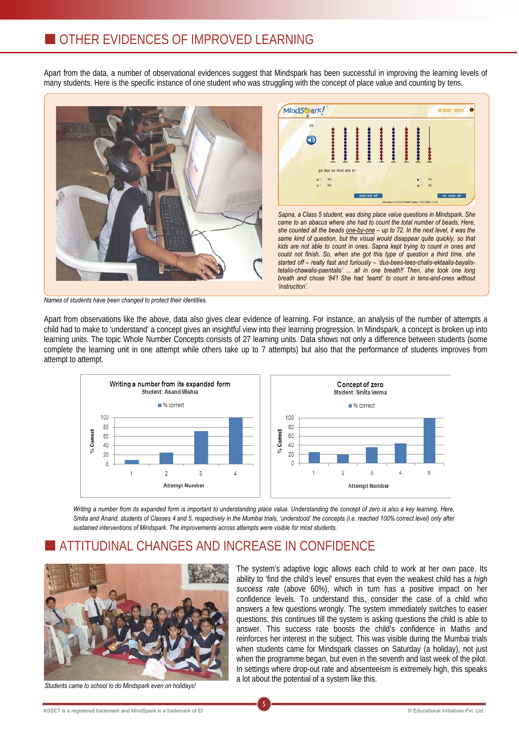Apart from the data, a number of observational evidences suggest that Mindspark has been successful in improving the learning levels of many students. Here is the specific instance of one student who was struggling with the concept of place value and counting by tens.





*Sapna, a Class 5 student, was doing place value questions in Mindspark. She came to an abacus where she had to count the total number of beads. Here, she counted all the beads one-by-one – up to 72. In the next level, it was the same kind of question, but the visual would disappear quite quickly, so that kids are not able to count in ones. Sapna kept trying to count in ones and could not finish. So, when she got this type of question a third time, she started off – really fast and furiously – 'dus-bees-tees-chalis-ektaalis-bayalistetalis-chawalis-paentalis' ... all in one breath!! Then, she took one long breath and chose '84'! She had 'learnt' to count in tens-and-ones without 'instruction'.*

*Names of students have been changed to protect their identities.* 

Apart from observations like the above, data also gives clear evidence of learning. For instance, an analysis of the number of attempts a child had to make to 'understand' a concept gives an insightful view into their learning progression. In Mindspark, a concept is broken up into learning units. The topic Whole Number Concepts consists of 27 learning units. Data shows not only a difference between students (some complete the learning unit in one attempt while others take up to 7 attempts) but also that the performance of students improves from attempt to attempt.



Writing a number from its expanded form is important to understanding place value. Understanding the concept of zero is also a key learning. Here, *Smita and Anand, students of Classes 4 and 5, respectively in the Mumbai trials, 'understood' the concepts (i.e. reached 100% correct level) only after sustained interventions of Mindspark. The improvements across attempts were visible for most students.*

5

## ATTITUDINAL CHANGES AND INCREASE IN CONFIDENCE



*Students came to school to do Mindspark even on holidays!* 

The system's adaptive logic allows each child to work at her own pace. Its ability to 'find the child's level' ensures that even the weakest child has a *high success rate* (above 60%), which in turn has a positive impact on her confidence levels. To understand this, consider the case of a child who answers a few questions wrongly. The system immediately switches to easier questions, this continues till the system is asking questions the child is able to answer. This success rate boosts the child's confidence in Maths and reinforces her interest in the subject. This was visible during the Mumbai trials when students came for Mindspark classes on Saturday (a holiday), not just when the programme began, but even in the seventh and last week of the pilot. In settings where drop-out rate and absenteeism is extremely high, this speaks a lot about the potential of a system like this.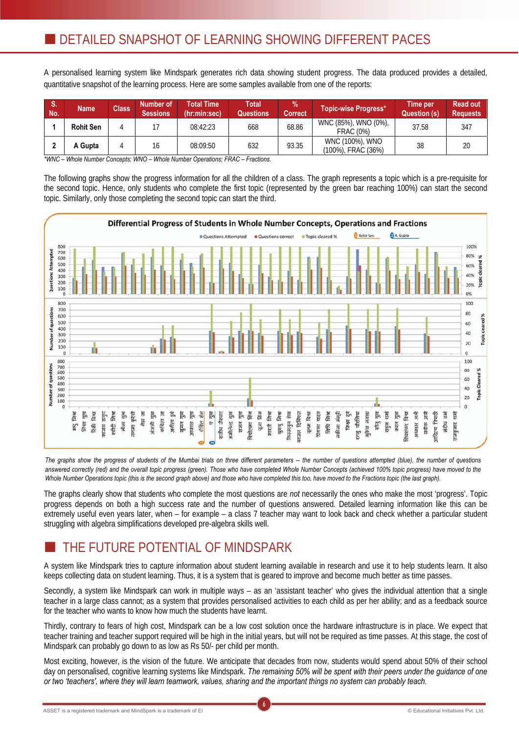A personalised learning system like Mindspark generates rich data showing student progress. The data produced provides a detailed, quantitative snapshot of the learning process. Here are some samples available from one of the reports:

| $\blacksquare$ S.<br>No. | <b>Name</b>      | <b>Class</b> | Number of<br><b>Sessions</b> | <b>Total Time</b><br>(hr:min:sec) | Total<br>Questions | $\%$<br><b>Correct</b> | Topic-wise Progress*                     | Time per<br>Question (s) | <b>Read out</b><br><b>Requests</b> |
|--------------------------|------------------|--------------|------------------------------|-----------------------------------|--------------------|------------------------|------------------------------------------|--------------------------|------------------------------------|
|                          | <b>Rohit Sen</b> |              |                              | 08:42:23                          | 668                | 68.86                  | WNC (85%), WNO (0%),<br><b>FRAC (0%)</b> | 37.58                    | 347                                |
|                          | A Gupta          |              | 16                           | 08:09:50                          | 632                | 93.35                  | WNC (100%), WNO<br>(100%), FRAC (36%)    | 38                       | 20                                 |

*\*WNC – Whole Number Concepts; WNO – Whole Number Operations; FRAC – Fractions.* 

The following graphs show the progress information for all the children of a class. The graph represents a topic which is a pre-requisite for the second topic. Hence, only students who complete the first topic (represented by the green bar reaching 100%) can start the second topic. Similarly, only those completing the second topic can start the third.



*The graphs show the progress of students of the Mumbai trials on three different parameters -- the number of questions attempted (blue), the number of questions*  answered correctly (red) and the overall topic progress (green). Those who have completed Whole Number Concepts (achieved 100% topic progress) have moved to the *Whole Number Operations topic (this is the second graph above) and those who have completed this too, have moved to the Fractions topic (the last graph).*

The graphs clearly show that students who complete the most questions are *not* necessarily the ones who make the most 'progress'. Topic progress depends on both a high success rate and the number of questions answered. Detailed learning information like this can be extremely useful even years later, when – for example – a class 7 teacher may want to look back and check whether a particular student struggling with algebra simplifications developed pre-algebra skills well.

## THE FUTURE POTENTIAL OF MINDSPARK

A system like Mindspark tries to capture information about student learning available in research and use it to help students learn. It also keeps collecting data on student learning. Thus, it is a system that is geared to improve and become much better as time passes.

Secondly, a system like Mindspark can work in multiple ways – as an 'assistant teacher' who gives the individual attention that a single teacher in a large class cannot; as a system that provides personalised activities to each child as per her ability; and as a feedback source for the teacher who wants to know how much the students have learnt.

Thirdly, contrary to fears of high cost, Mindspark can be a low cost solution once the hardware infrastructure is in place. We expect that teacher training and teacher support required will be high in the initial years, but will not be required as time passes. At this stage, the cost of Mindspark can probably go down to as low as Rs 50/- per child per month.

Most exciting, however, is the vision of the future. We anticipate that decades from now, students would spend about 50% of their school day on personalised, cognitive learning systems like Mindspark. *The remaining 50% will be spent with their peers under the guidance of one or two 'teachers', where they will learn teamwork, values, sharing and the important things no system can probably teach.*

6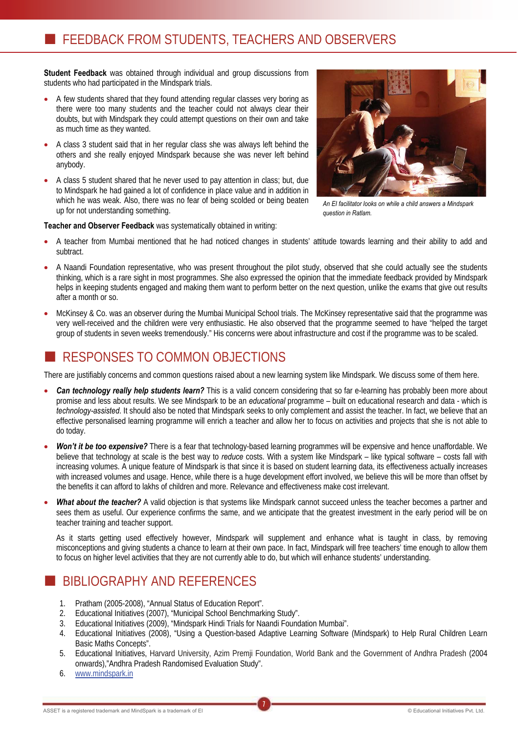**Student Feedback** was obtained through individual and group discussions from students who had participated in the Mindspark trials.

- A few students shared that they found attending regular classes very boring as there were too many students and the teacher could not always clear their doubts, but with Mindspark they could attempt questions on their own and take as much time as they wanted.
- x A class 3 student said that in her regular class she was always left behind the others and she really enjoyed Mindspark because she was never left behind anybody.
- A class 5 student shared that he never used to pay attention in class; but, due to Mindspark he had gained a lot of confidence in place value and in addition in which he was weak. Also, there was no fear of being scolded or being beaten up for not understanding something.



*An EI facilitator looks on while a child answers a Mindspark question in Ratlam.* 

**Teacher and Observer Feedback** was systematically obtained in writing:

- x A teacher from Mumbai mentioned that he had noticed changes in students' attitude towards learning and their ability to add and subtract.
- x A Naandi Foundation representative, who was present throughout the pilot study, observed that she could actually see the students thinking, which is a rare sight in most programmes. She also expressed the opinion that the immediate feedback provided by Mindspark helps in keeping students engaged and making them want to perform better on the next question, unlike the exams that give out results after a month or so.
- x McKinsey & Co. was an observer during the Mumbai Municipal School trials. The McKinsey representative said that the programme was very well-received and the children were very enthusiastic. He also observed that the programme seemed to have "helped the target group of students in seven weeks tremendously." His concerns were about infrastructure and cost if the programme was to be scaled.

# RESPONSES TO COMMON OBJECTIONS

There are justifiably concerns and common questions raised about a new learning system like Mindspark. We discuss some of them here.

- **Can technology really help students learn?** This is a valid concern considering that so far e-learning has probably been more about promise and less about results. We see Mindspark to be an *educational* programme – built on educational research and data - which is *technology-assisted*. It should also be noted that Mindspark seeks to only complement and assist the teacher. In fact, we believe that an effective personalised learning programme will enrich a teacher and allow her to focus on activities and projects that she is not able to do today.
- Won't it be too expensive? There is a fear that technology-based learning programmes will be expensive and hence unaffordable. We believe that technology at scale is the best way to *reduce* costs. With a system like Mindspark – like typical software – costs fall with increasing volumes. A unique feature of Mindspark is that since it is based on student learning data, its effectiveness actually increases with increased volumes and usage. Hence, while there is a huge development effort involved, we believe this will be more than offset by the benefits it can afford to lakhs of children and more. Relevance and effectiveness make cost irrelevant.
- **What about the teacher?** A valid objection is that systems like Mindspark cannot succeed unless the teacher becomes a partner and sees them as useful. Our experience confirms the same, and we anticipate that the greatest investment in the early period will be on teacher training and teacher support.

As it starts getting used effectively however, Mindspark will supplement and enhance what is taught in class, by removing misconceptions and giving students a chance to learn at their own pace. In fact, Mindspark will free teachers' time enough to allow them to focus on higher level activities that they are not currently able to do, but which will enhance students' understanding.

## BIBLIOGRAPHY AND REFERENCES

- 1. Pratham (2005-2008), "Annual Status of Education Report".
- 2. Educational Initiatives (2007), "Municipal School Benchmarking Study".
- 3. Educational Initiatives (2009), "Mindspark Hindi Trials for Naandi Foundation Mumbai".
- 4. Educational Initiatives (2008), "Using a Question-based Adaptive Learning Software (Mindspark) to Help Rural Children Learn Basic Maths Concepts".
- 5. Educational Initiatives, Harvard University, Azim Premji Foundation, World Bank and the Government of Andhra Pradesh (2004 onwards),"Andhra Pradesh Randomised Evaluation Study".

7

6. www.mindspark.in